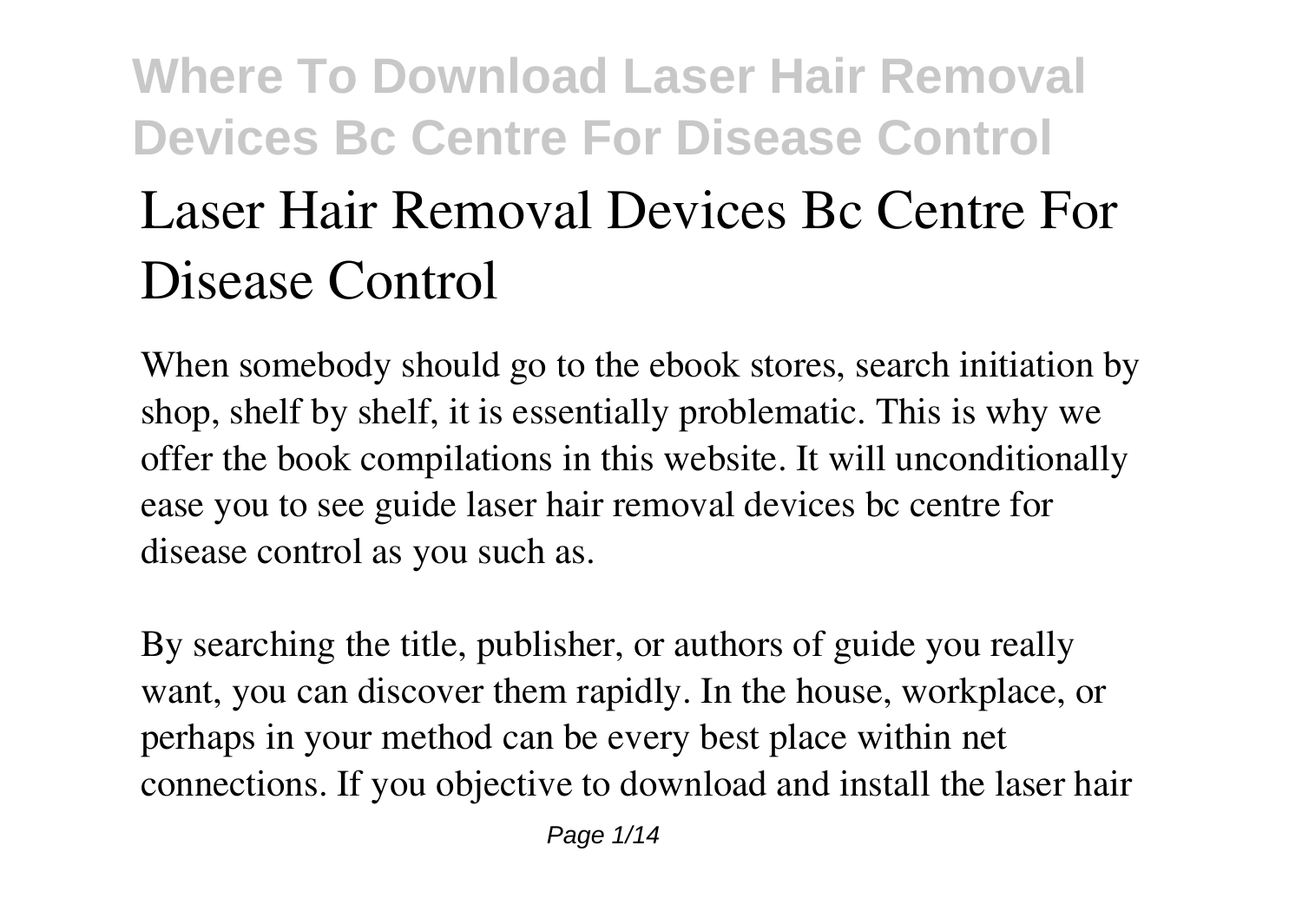# **Where To Download Laser Hair Removal Devices Bc Centre For Disease Control Laser Hair Removal Devices Bc Centre For Disease Control**

When somebody should go to the ebook stores, search initiation by shop, shelf by shelf, it is essentially problematic. This is why we offer the book compilations in this website. It will unconditionally ease you to see guide **laser hair removal devices bc centre for disease control** as you such as.

By searching the title, publisher, or authors of guide you really want, you can discover them rapidly. In the house, workplace, or perhaps in your method can be every best place within net connections. If you objective to download and install the laser hair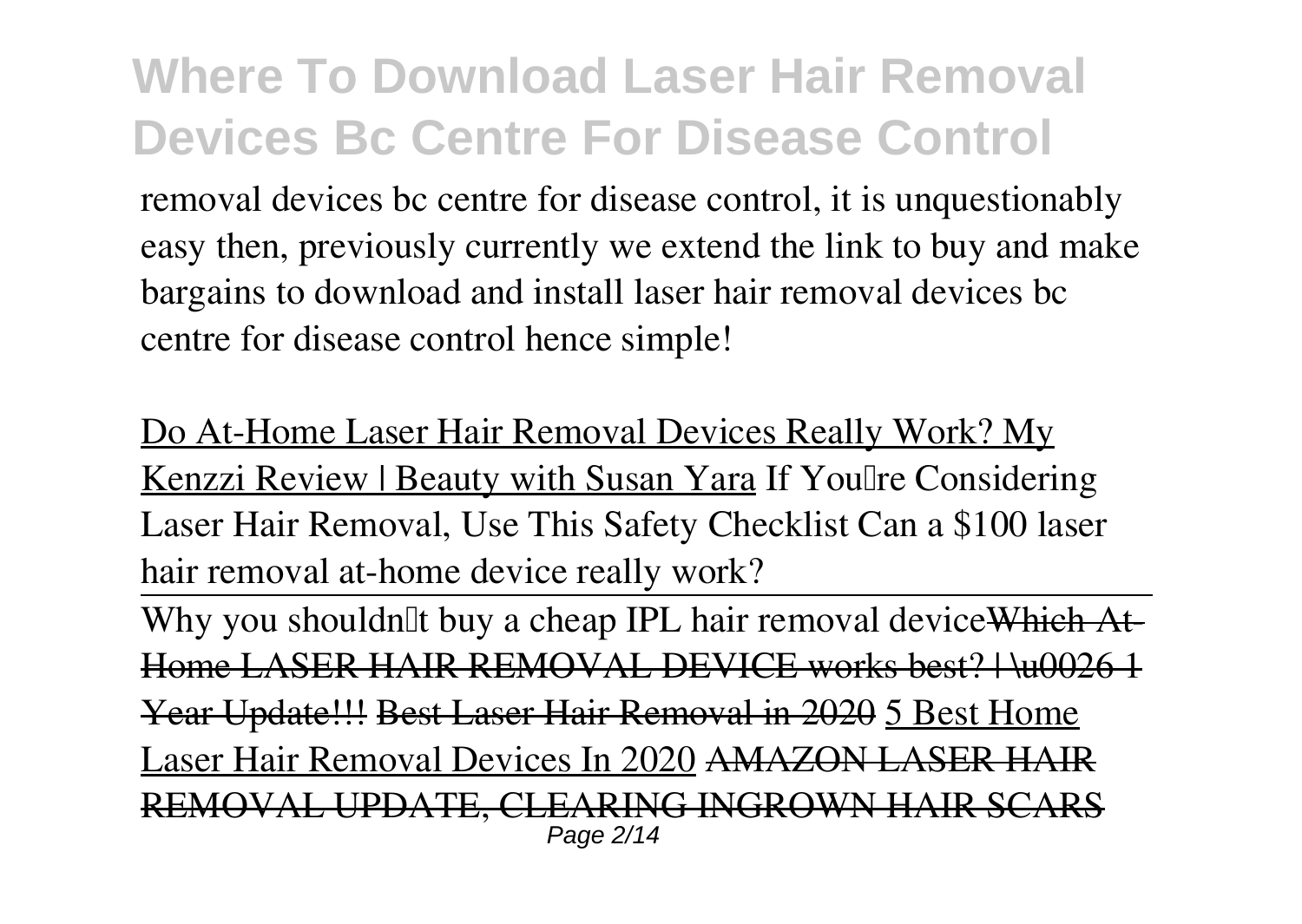removal devices bc centre for disease control, it is unquestionably easy then, previously currently we extend the link to buy and make bargains to download and install laser hair removal devices bc centre for disease control hence simple!

Do At-Home Laser Hair Removal Devices Really Work? My Kenzzi Review | Beauty with Susan Yara **If You're Considering Laser Hair Removal, Use This Safety Checklist Can a \$100 laser hair removal at-home device really work?**

Why you shouldn<sup>'''</sup> buy a cheap IPL hair removal device Which At  $A$ SER HAIR REMOVAL DEVICE works best?  $\bigcup_{n=1}^{\infty}$ Year Update!!! Best Laser Hair Removal in 2020 5 Best Home Laser Hair Removal Devices In 2020 AMAZON LASER HAIR REMOVAL UPDATE, CLEARING INGROWN HAIR SCARS Page 2/14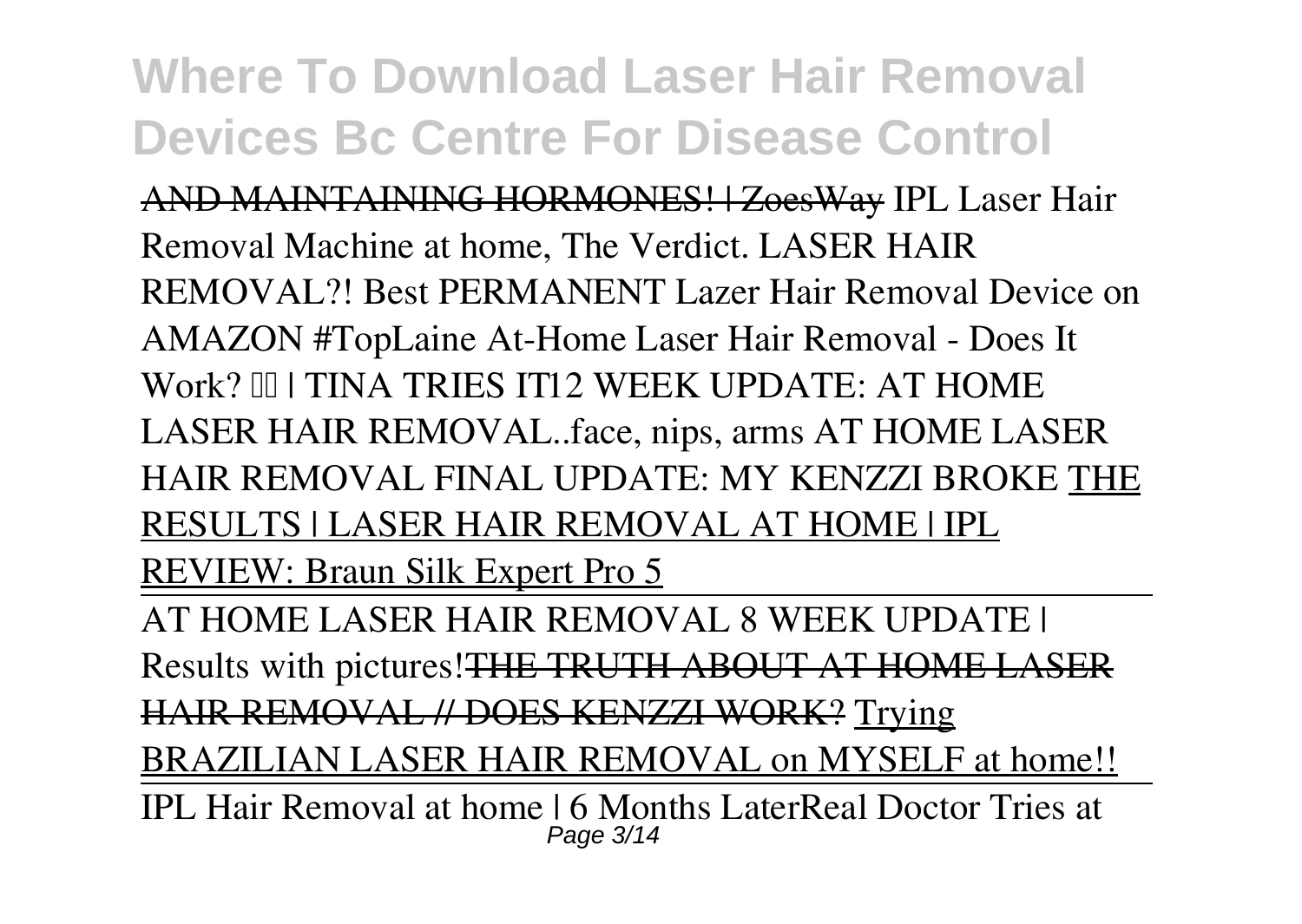AND MAINTAINING HORMONES! | ZoesWay *IPL Laser Hair Removal Machine at home, The Verdict. LASER HAIR REMOVAL?! Best PERMANENT Lazer Hair Removal Device on AMAZON #TopLaine* **At-Home Laser Hair Removal - Does It** Work? III I TINA TRIES IT12 WEEK UPDATE: AT HOME LASER HAIR REMOVAL..face, nips, arms **AT HOME LASER HAIR REMOVAL FINAL UPDATE: MY KENZZI BROKE** THE RESULTS | LASER HAIR REMOVAL AT HOME | IPL REVIEW: Braun Silk Expert Pro 5 AT HOME LASER HAIR REMOVAL 8 WEEK UPDATE | Results with pictures!THE TRUTH ABOUT AT HOME LASER HAIR REMOVAL // DOES KENZZI WORK? Trying BRAZILIAN LASER HAIR REMOVAL on MYSELF at home!!

IPL Hair Removal at home | 6 Months Later*Real Doctor Tries at* Page 3/14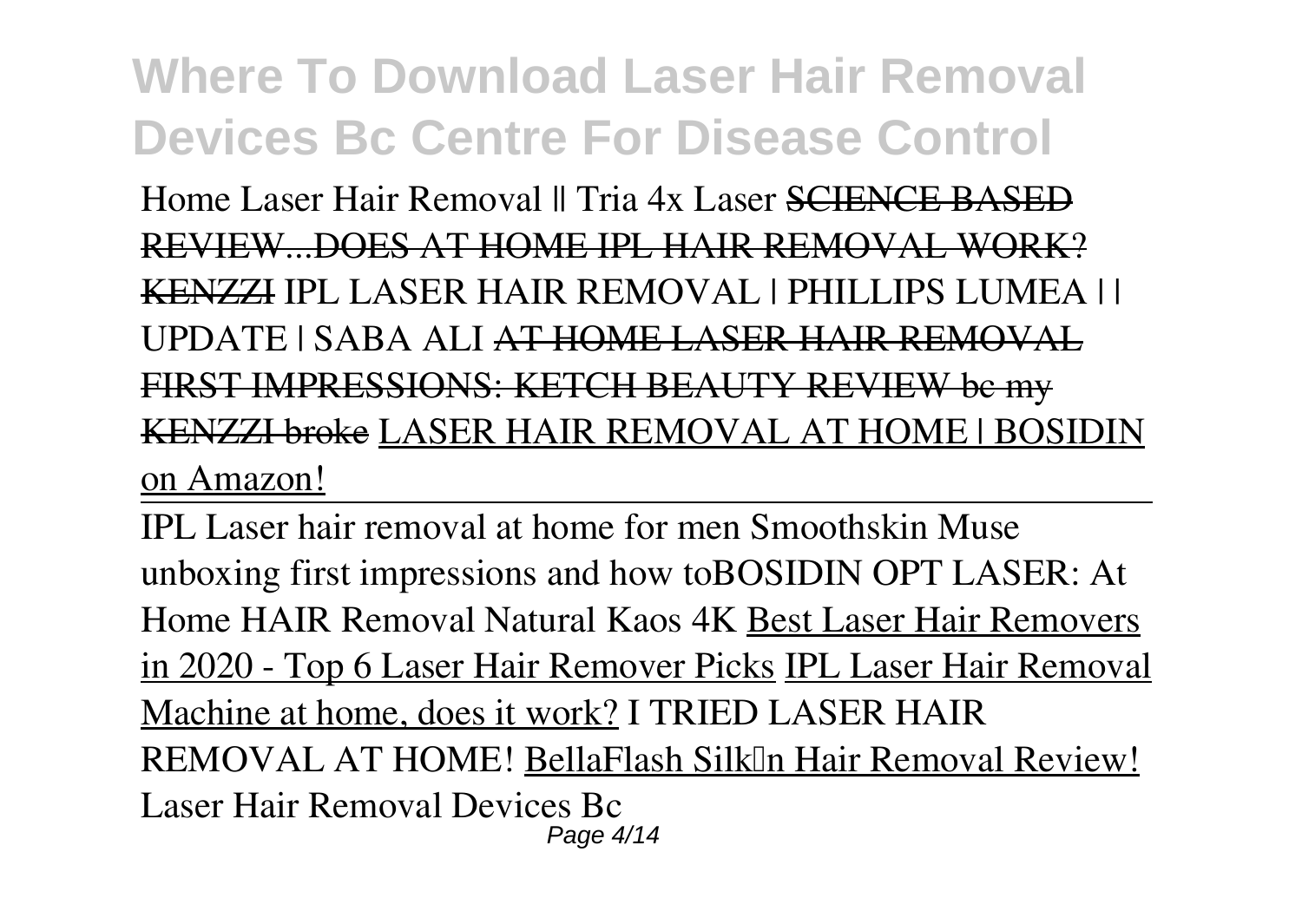*Home Laser Hair Removal || Tria 4x Laser* SCIENCE BASED REVIEW...DOES AT HOME IPL HAIR REMOVAL WORK? KENZZI *IPL LASER HAIR REMOVAL | PHILLIPS LUMEA | | UPDATE | SABA ALI* AT HOME LASER HAIR REMOVAL RST IMPRESSIONS: KETCH BEAUTY REVIEW be KENZZI broke LASER HAIR REMOVAL AT HOME | BOSIDIN on Amazon!

IPL Laser hair removal at home for men Smoothskin Muse unboxing first impressions and how to*BOSIDIN OPT LASER: At Home HAIR Removal Natural Kaos 4K* Best Laser Hair Removers in 2020 - Top 6 Laser Hair Remover Picks IPL Laser Hair Removal Machine at home, does it work? *I TRIED LASER HAIR* **REMOVAL AT HOME! BellaFlash SilkIn Hair Removal Review! Laser Hair Removal Devices Bc** Page 4/14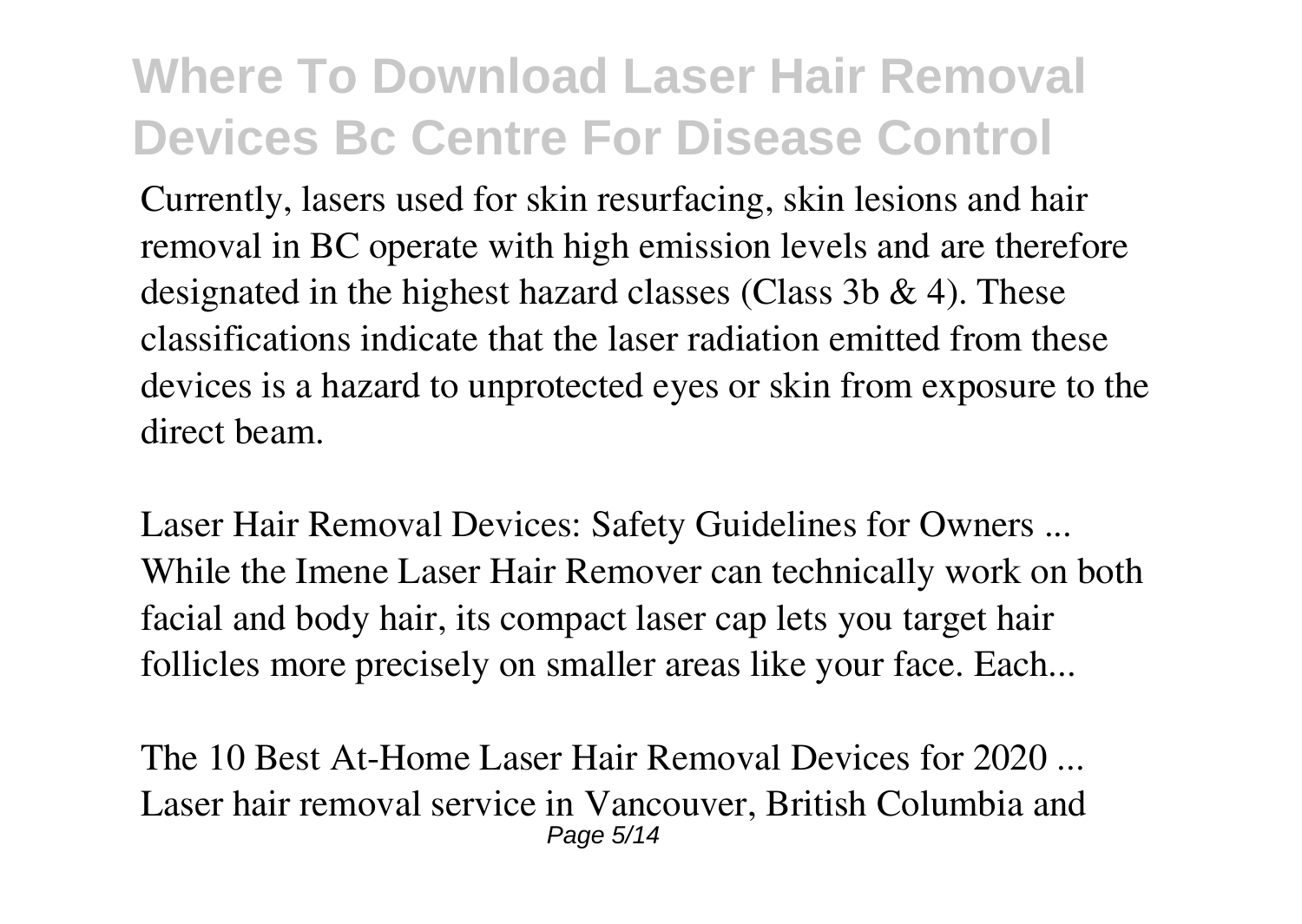Currently, lasers used for skin resurfacing, skin lesions and hair removal in BC operate with high emission levels and are therefore designated in the highest hazard classes (Class  $3b \& 4$ ). These classifications indicate that the laser radiation emitted from these devices is a hazard to unprotected eyes or skin from exposure to the direct beam.

**Laser Hair Removal Devices: Safety Guidelines for Owners ...** While the Imene Laser Hair Remover can technically work on both facial and body hair, its compact laser cap lets you target hair follicles more precisely on smaller areas like your face. Each...

**The 10 Best At-Home Laser Hair Removal Devices for 2020 ...** Laser hair removal service in Vancouver, British Columbia and Page 5/14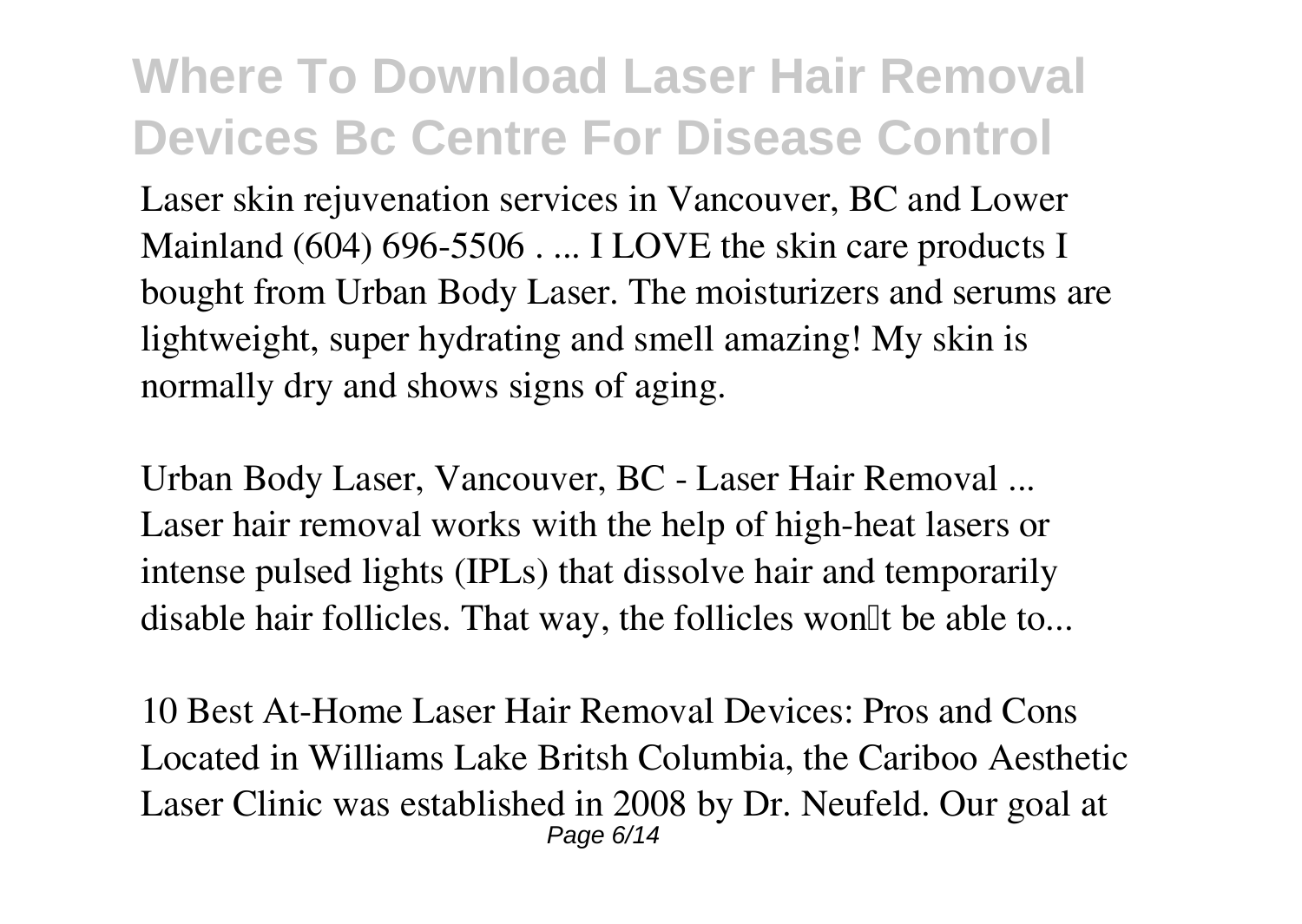Laser skin rejuvenation services in Vancouver, BC and Lower Mainland (604) 696-5506 . ... I LOVE the skin care products I bought from Urban Body Laser. The moisturizers and serums are lightweight, super hydrating and smell amazing! My skin is normally dry and shows signs of aging.

**Urban Body Laser, Vancouver, BC - Laser Hair Removal ...** Laser hair removal works with the help of high-heat lasers or intense pulsed lights (IPLs) that dissolve hair and temporarily disable hair follicles. That way, the follicles won'll be able to...

**10 Best At-Home Laser Hair Removal Devices: Pros and Cons** Located in Williams Lake Britsh Columbia, the Cariboo Aesthetic Laser Clinic was established in 2008 by Dr. Neufeld. Our goal at Page 6/14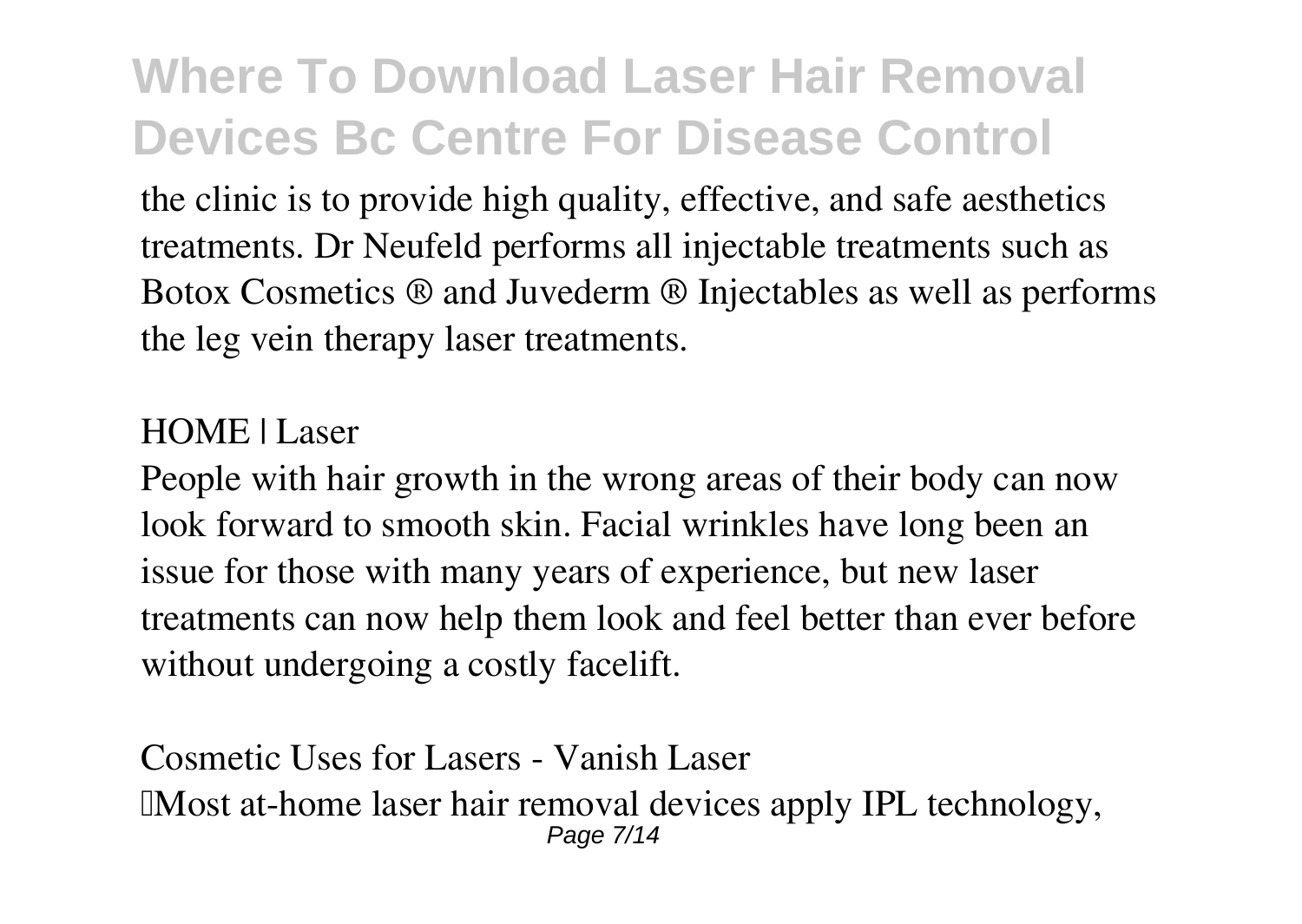the clinic is to provide high quality, effective, and safe aesthetics treatments. Dr Neufeld performs all injectable treatments such as Botox Cosmetics ® and Juvederm ® Injectables as well as performs the leg vein therapy laser treatments.

#### **HOME | Laser**

People with hair growth in the wrong areas of their body can now look forward to smooth skin. Facial wrinkles have long been an issue for those with many years of experience, but new laser treatments can now help them look and feel better than ever before without undergoing a costly facelift.

**Cosmetic Uses for Lasers - Vanish Laser** IMost at-home laser hair removal devices apply IPL technology, Page 7/14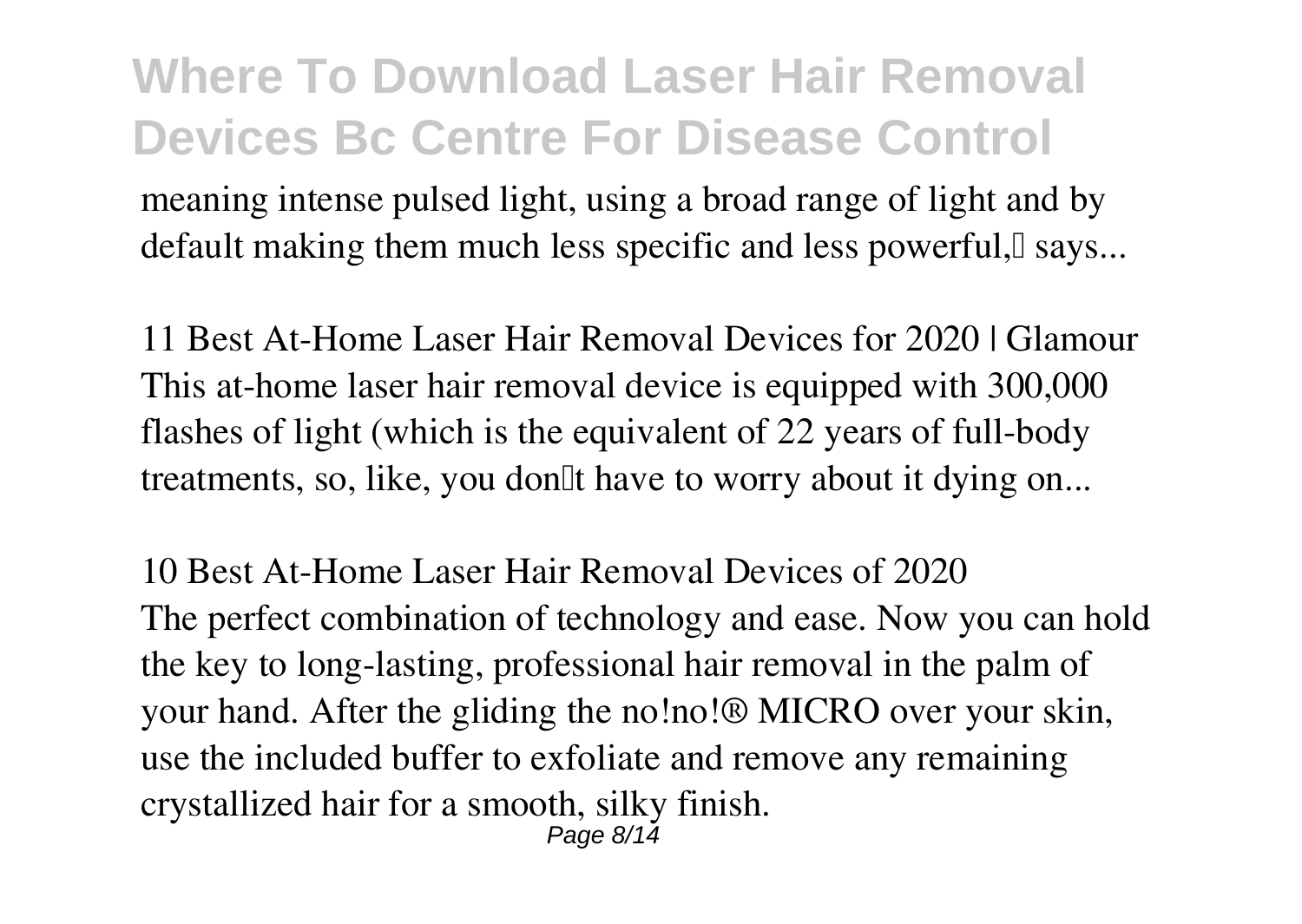meaning intense pulsed light, using a broad range of light and by default making them much less specific and less powerful, says...

**11 Best At-Home Laser Hair Removal Devices for 2020 | Glamour** This at-home laser hair removal device is equipped with 300,000 flashes of light (which is the equivalent of 22 years of full-body treatments, so, like, you don<sup>'''</sup> have to worry about it dying on...

**10 Best At-Home Laser Hair Removal Devices of 2020** The perfect combination of technology and ease. Now you can hold the key to long-lasting, professional hair removal in the palm of your hand. After the gliding the no!no!® MICRO over your skin, use the included buffer to exfoliate and remove any remaining crystallized hair for a smooth, silky finish. Page 8/14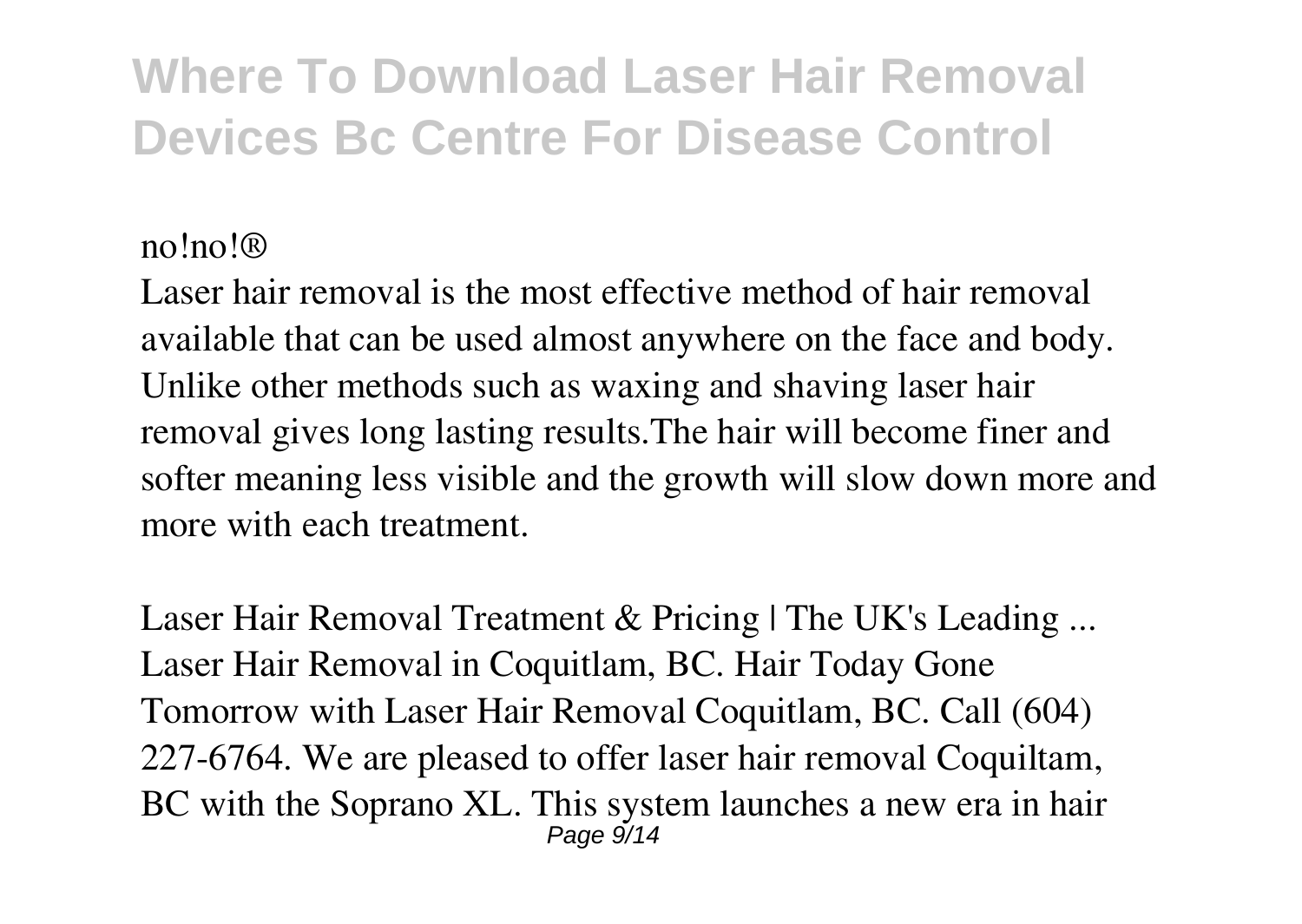#### **no!no!®**

Laser hair removal is the most effective method of hair removal available that can be used almost anywhere on the face and body. Unlike other methods such as waxing and shaving laser hair removal gives long lasting results.The hair will become finer and softer meaning less visible and the growth will slow down more and more with each treatment.

**Laser Hair Removal Treatment & Pricing | The UK's Leading ...** Laser Hair Removal in Coquitlam, BC. Hair Today Gone Tomorrow with Laser Hair Removal Coquitlam, BC. Call (604) 227-6764. We are pleased to offer laser hair removal Coquiltam, BC with the Soprano XL. This system launches a new era in hair Page 9/14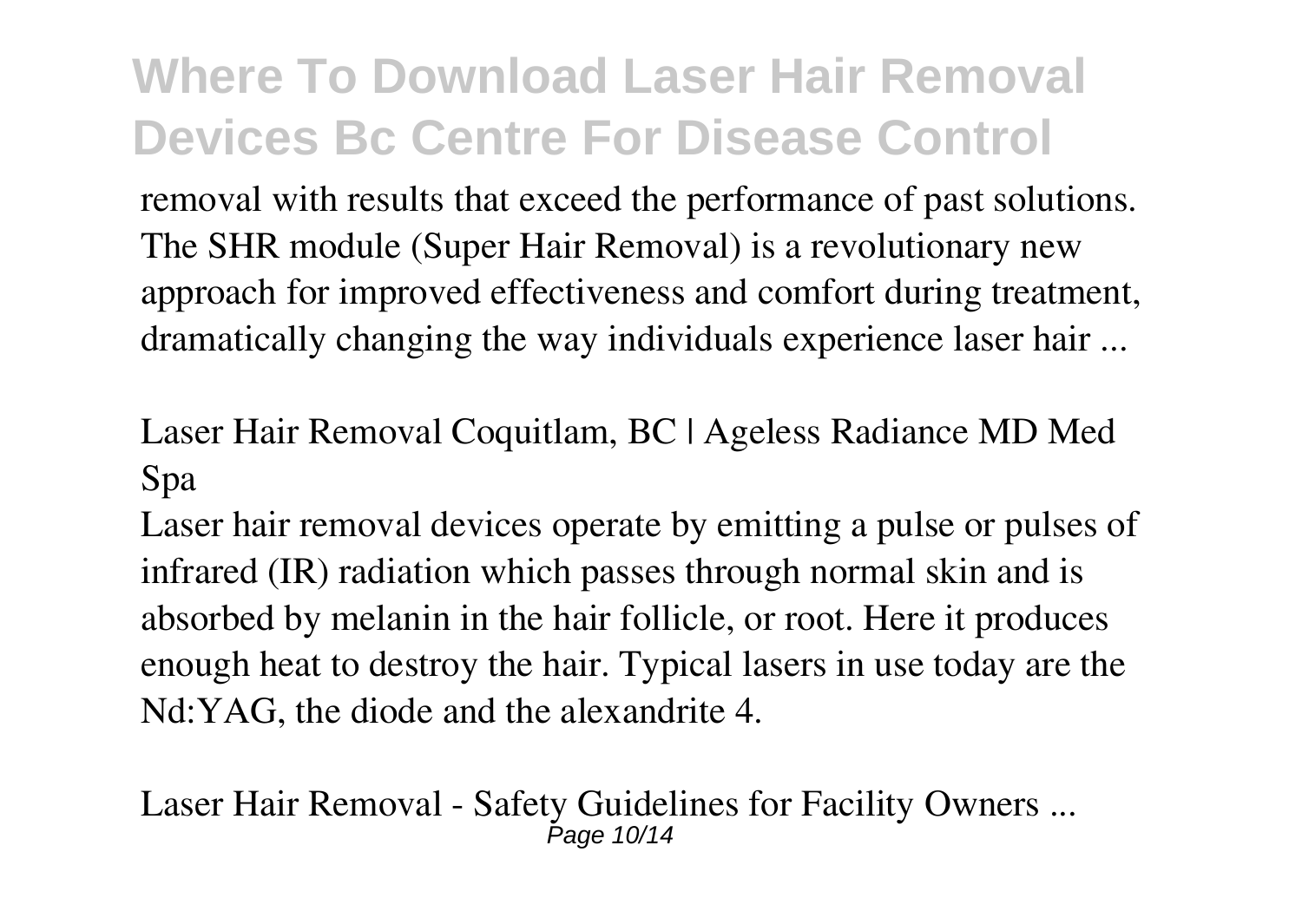removal with results that exceed the performance of past solutions. The SHR module (Super Hair Removal) is a revolutionary new approach for improved effectiveness and comfort during treatment, dramatically changing the way individuals experience laser hair ...

**Laser Hair Removal Coquitlam, BC | Ageless Radiance MD Med Spa**

Laser hair removal devices operate by emitting a pulse or pulses of infrared (IR) radiation which passes through normal skin and is absorbed by melanin in the hair follicle, or root. Here it produces enough heat to destroy the hair. Typical lasers in use today are the Nd:YAG, the diode and the alexandrite 4.

**Laser Hair Removal - Safety Guidelines for Facility Owners ...** Page 10/14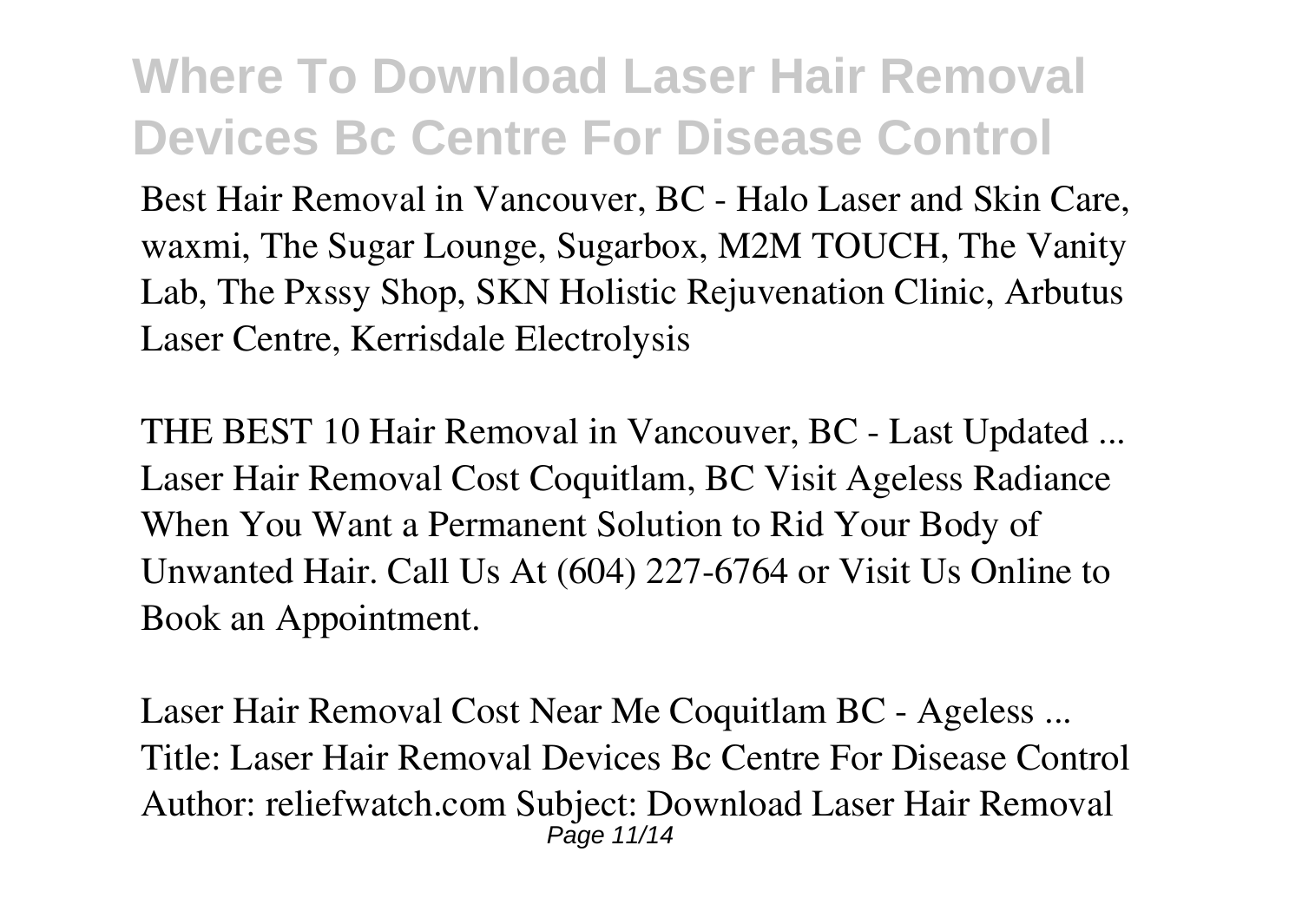Best Hair Removal in Vancouver, BC - Halo Laser and Skin Care, waxmi, The Sugar Lounge, Sugarbox, M2M TOUCH, The Vanity Lab, The Pxssy Shop, SKN Holistic Rejuvenation Clinic, Arbutus Laser Centre, Kerrisdale Electrolysis

**THE BEST 10 Hair Removal in Vancouver, BC - Last Updated ...** Laser Hair Removal Cost Coquitlam, BC Visit Ageless Radiance When You Want a Permanent Solution to Rid Your Body of Unwanted Hair. Call Us At (604) 227-6764 or Visit Us Online to Book an Appointment.

**Laser Hair Removal Cost Near Me Coquitlam BC - Ageless ...** Title: Laser Hair Removal Devices Bc Centre For Disease Control Author: reliefwatch.com Subject: Download Laser Hair Removal Page 11/14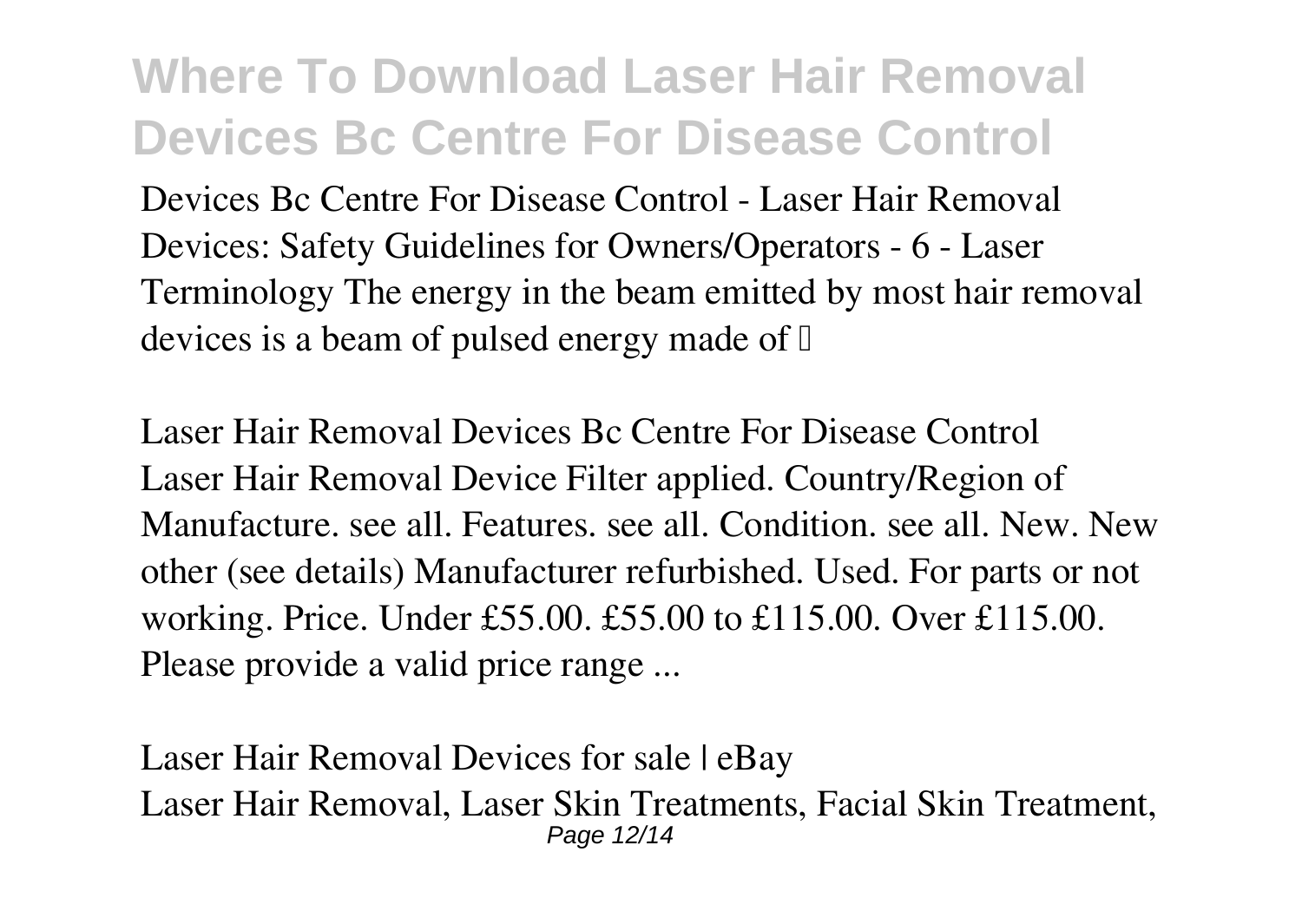Devices Bc Centre For Disease Control - Laser Hair Removal Devices: Safety Guidelines for Owners/Operators - 6 - Laser Terminology The energy in the beam emitted by most hair removal devices is a beam of pulsed energy made of  $\mathbb I$ 

**Laser Hair Removal Devices Bc Centre For Disease Control** Laser Hair Removal Device Filter applied. Country/Region of Manufacture. see all. Features. see all. Condition. see all. New. New other (see details) Manufacturer refurbished. Used. For parts or not working. Price. Under £55.00. £55.00 to £115.00. Over £115.00. Please provide a valid price range ...

**Laser Hair Removal Devices for sale | eBay** Laser Hair Removal, Laser Skin Treatments, Facial Skin Treatment, Page 12/14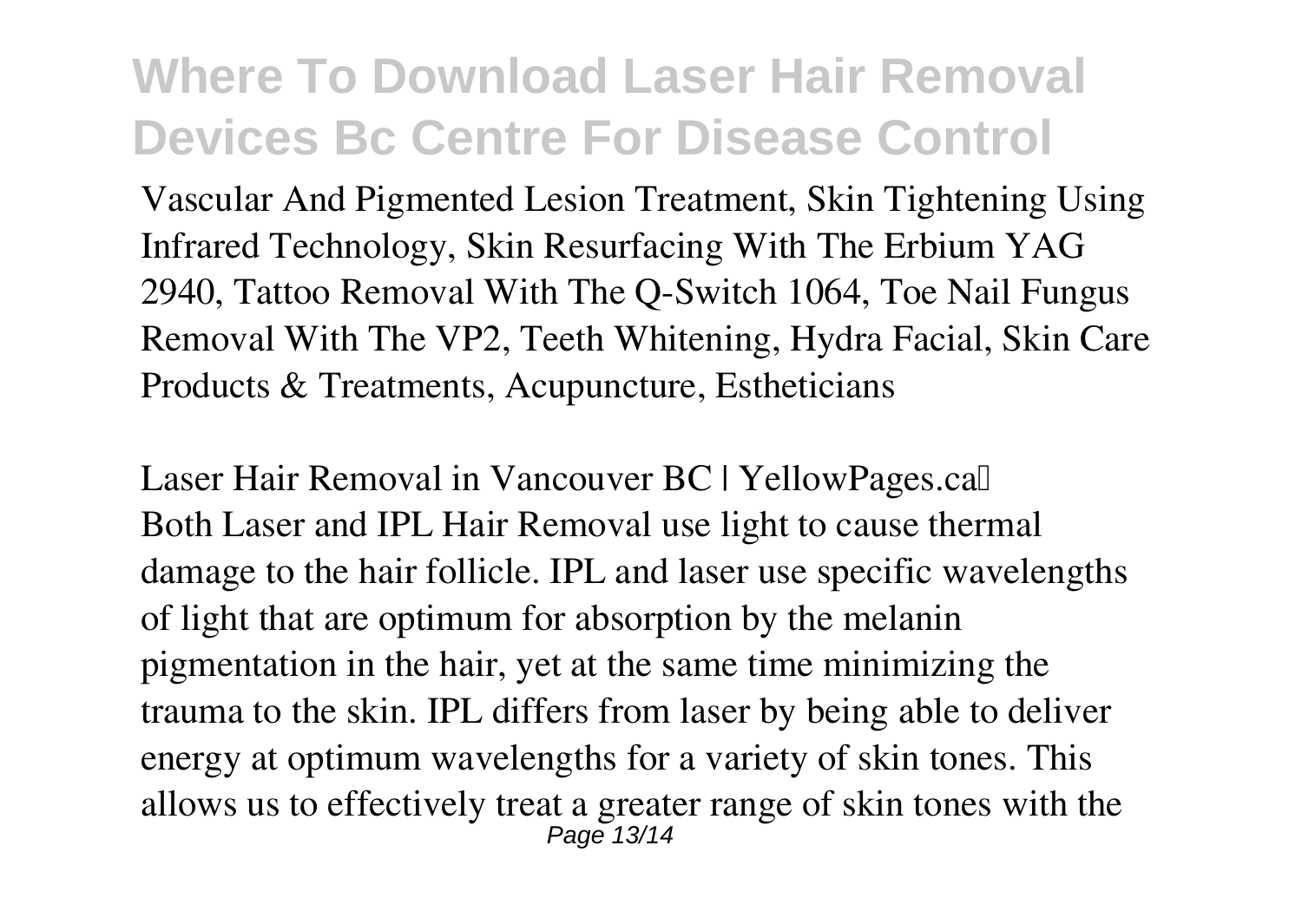Vascular And Pigmented Lesion Treatment, Skin Tightening Using Infrared Technology, Skin Resurfacing With The Erbium YAG 2940, Tattoo Removal With The Q-Switch 1064, Toe Nail Fungus Removal With The VP2, Teeth Whitening, Hydra Facial, Skin Care Products & Treatments, Acupuncture, Estheticians

Laser Hair Removal in Vancouver BC | YellowPages.ca<sup>[]</sup> Both Laser and IPL Hair Removal use light to cause thermal damage to the hair follicle. IPL and laser use specific wavelengths of light that are optimum for absorption by the melanin pigmentation in the hair, yet at the same time minimizing the trauma to the skin. IPL differs from laser by being able to deliver energy at optimum wavelengths for a variety of skin tones. This allows us to effectively treat a greater range of skin tones with the Page 13/14